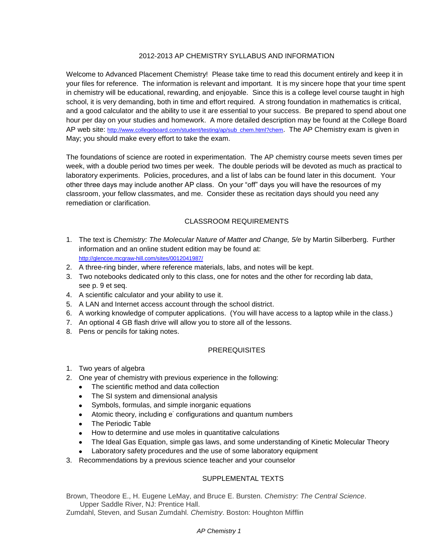### 2012-2013 AP CHEMISTRY SYLLABUS AND INFORMATION

Welcome to Advanced Placement Chemistry! Please take time to read this document entirely and keep it in your files for reference. The information is relevant and important. It is my sincere hope that your time spent in chemistry will be educational, rewarding, and enjoyable. Since this is a college level course taught in high school, it is very demanding, both in time and effort required. A strong foundation in mathematics is critical, and a good calculator and the ability to use it are essential to your success. Be prepared to spend about one hour per day on your studies and homework. A more detailed description may be found at the College Board AP web site: [http://www.collegeboard.com/student/testing/ap/sub\\_chem.html?chem](http://www.collegeboard.com/student/testing/ap/sub_chem.html?chem). The AP Chemistry exam is given in May; you should make every effort to take the exam.

The foundations of science are rooted in experimentation. The AP chemistry course meets seven times per week, with a double period two times per week. The double periods will be devoted as much as practical to laboratory experiments. Policies, procedures, and a list of labs can be found later in this document. Your other three days may include another AP class. On your "off" days you will have the resources of my classroom, your fellow classmates, and me. Consider these as recitation days should you need any remediation or clarification.

## CLASSROOM REQUIREMENTS

- 1. The text is *Chemistry: The Molecular Nature of Matter and Change, 5/e* by Martin Silberberg. Further information and an online student edition may be found at: <http://glencoe.mcgraw-hill.com/sites/0012041987/>
- 2. A three-ring binder, where reference materials, labs, and notes will be kept.
- 3. Two notebooks dedicated only to this class, one for notes and the other for recording lab data, see p. 9 et seq.
- 4. A scientific calculator and your ability to use it.
- 5. A LAN and Internet access account through the school district.
- 6. A working knowledge of computer applications. (You will have access to a laptop while in the class.)
- 7. An optional 4 GB flash drive will allow you to store all of the lessons.
- 8. Pens or pencils for taking notes.

#### **PREREQUISITES**

- 1. Two years of algebra
- 2. One year of chemistry with previous experience in the following:
	- The scientific method and data collection  $\bullet$
	- The SI system and dimensional analysis
	- Symbols, formulas, and simple inorganic equations  $\bullet$
	- Atomic theory, including e<sup>-</sup> configurations and quantum numbers  $\bullet$
	- The Periodic Table
	- How to determine and use moles in quantitative calculations
	- The Ideal Gas Equation, simple gas laws, and some understanding of Kinetic Molecular Theory
	- Laboratory safety procedures and the use of some laboratory equipment
- 3. Recommendations by a previous science teacher and your counselor

## SUPPLEMENTAL TEXTS

Brown, Theodore E., H. Eugene LeMay, and Bruce E. Bursten. *Chemistry: The Central Science*. Upper Saddle River, NJ: Prentice Hall.

Zumdahl, Steven, and Susan Zumdahl. *Chemistry*. Boston: Houghton Mifflin

#### *AP Chemistry 1*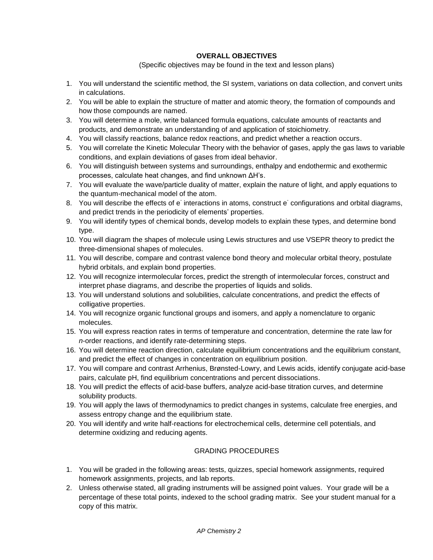#### **OVERALL OBJECTIVES**

#### (Specific objectives may be found in the text and lesson plans)

- 1. You will understand the scientific method, the SI system, variations on data collection, and convert units in calculations.
- 2. You will be able to explain the structure of matter and atomic theory, the formation of compounds and how those compounds are named.
- 3. You will determine a mole, write balanced formula equations, calculate amounts of reactants and products, and demonstrate an understanding of and application of stoichiometry.
- 4. You will classify reactions, balance redox reactions, and predict whether a reaction occurs.
- 5. You will correlate the Kinetic Molecular Theory with the behavior of gases, apply the gas laws to variable conditions, and explain deviations of gases from ideal behavior.
- 6. You will distinguish between systems and surroundings, enthalpy and endothermic and exothermic processes, calculate heat changes, and find unknown ΔH's.
- 7. You will evaluate the wave/particle duality of matter, explain the nature of light, and apply equations to the quantum-mechanical model of the atom.
- 8. You will describe the effects of e interactions in atoms, construct e configurations and orbital diagrams, and predict trends in the periodicity of elements' properties.
- 9. You will identify types of chemical bonds, develop models to explain these types, and determine bond type.
- 10. You will diagram the shapes of molecule using Lewis structures and use VSEPR theory to predict the three-dimensional shapes of molecules.
- 11. You will describe, compare and contrast valence bond theory and molecular orbital theory, postulate hybrid orbitals, and explain bond properties.
- 12. You will recognize intermolecular forces, predict the strength of intermolecular forces, construct and interpret phase diagrams, and describe the properties of liquids and solids.
- 13. You will understand solutions and solubilities, calculate concentrations, and predict the effects of colligative properties.
- 14. You will recognize organic functional groups and isomers, and apply a nomenclature to organic molecules.
- 15. You will express reaction rates in terms of temperature and concentration, determine the rate law for *n*-order reactions, and identify rate-determining steps.
- 16. You will determine reaction direction, calculate equilibrium concentrations and the equilibrium constant, and predict the effect of changes in concentration on equilibrium position.
- 17. You will compare and contrast Arrhenius, Brønsted-Lowry, and Lewis acids, identify conjugate acid-base pairs, calculate pH, find equilibrium concentrations and percent dissociations.
- 18. You will predict the effects of acid-base buffers, analyze acid-base titration curves, and determine solubility products.
- 19. You will apply the laws of thermodynamics to predict changes in systems, calculate free energies, and assess entropy change and the equilibrium state.
- 20. You will identify and write half-reactions for electrochemical cells, determine cell potentials, and determine oxidizing and reducing agents.

## GRADING PROCEDURES

- 1. You will be graded in the following areas: tests, quizzes, special homework assignments, required homework assignments, projects, and lab reports.
- 2. Unless otherwise stated, all grading instruments will be assigned point values. Your grade will be a percentage of these total points, indexed to the school grading matrix. See your student manual for a copy of this matrix.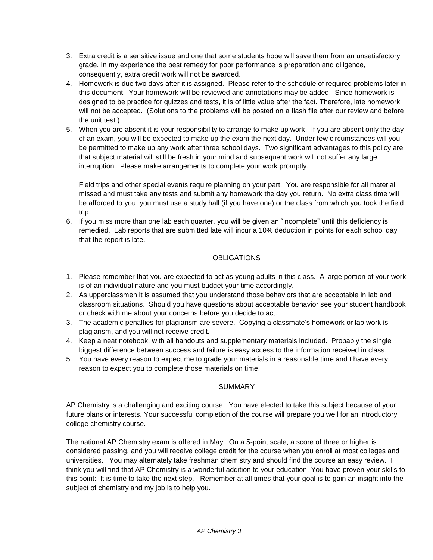- 3. Extra credit is a sensitive issue and one that some students hope will save them from an unsatisfactory grade. In my experience the best remedy for poor performance is preparation and diligence, consequently, extra credit work will not be awarded.
- 4. Homework is due two days after it is assigned. Please refer to the schedule of required problems later in this document. Your homework will be reviewed and annotations may be added. Since homework is designed to be practice for quizzes and tests, it is of little value after the fact. Therefore, late homework will not be accepted. (Solutions to the problems will be posted on a flash file after our review and before the unit test.)
- 5. When you are absent it is your responsibility to arrange to make up work. If you are absent only the day of an exam, you will be expected to make up the exam the next day. Under few circumstances will you be permitted to make up any work after three school days. Two significant advantages to this policy are that subject material will still be fresh in your mind and subsequent work will not suffer any large interruption. Please make arrangements to complete your work promptly.

Field trips and other special events require planning on your part. You are responsible for all material missed and must take any tests and submit any homework the day you return. No extra class time will be afforded to you: you must use a study hall (if you have one) or the class from which you took the field trip.

6. If you miss more than one lab each quarter, you will be given an "incomplete" until this deficiency is remedied. Lab reports that are submitted late will incur a 10% deduction in points for each school day that the report is late.

# **OBLIGATIONS**

- 1. Please remember that you are expected to act as young adults in this class. A large portion of your work is of an individual nature and you must budget your time accordingly.
- 2. As upperclassmen it is assumed that you understand those behaviors that are acceptable in lab and classroom situations. Should you have questions about acceptable behavior see your student handbook or check with me about your concerns before you decide to act.
- 3. The academic penalties for plagiarism are severe. Copying a classmate's homework or lab work is plagiarism, and you will not receive credit.
- 4. Keep a neat notebook, with all handouts and supplementary materials included. Probably the single biggest difference between success and failure is easy access to the information received in class.
- 5. You have every reason to expect me to grade your materials in a reasonable time and I have every reason to expect you to complete those materials on time.

## SUMMARY

AP Chemistry is a challenging and exciting course. You have elected to take this subject because of your future plans or interests. Your successful completion of the course will prepare you well for an introductory college chemistry course.

The national AP Chemistry exam is offered in May. On a 5-point scale, a score of three or higher is considered passing, and you will receive college credit for the course when you enroll at most colleges and universities. You may alternately take freshman chemistry and should find the course an easy review. I think you will find that AP Chemistry is a wonderful addition to your education. You have proven your skills to this point: It is time to take the next step. Remember at all times that your goal is to gain an insight into the subject of chemistry and my job is to help you.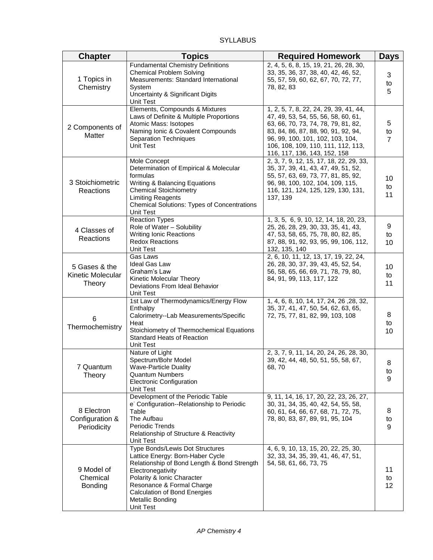## **SYLLABUS**

| <b>Chapter</b>                               | <b>Topics</b>                                                                                                                                                                                                                                                              | <b>Required Homework</b>                                                                                                                                                                                                                                              | <b>Days</b>               |
|----------------------------------------------|----------------------------------------------------------------------------------------------------------------------------------------------------------------------------------------------------------------------------------------------------------------------------|-----------------------------------------------------------------------------------------------------------------------------------------------------------------------------------------------------------------------------------------------------------------------|---------------------------|
| 1 Topics in<br>Chemistry                     | <b>Fundamental Chemistry Definitions</b><br><b>Chemical Problem Solving</b><br>Measurements: Standard International<br>System<br>Uncertainty & Significant Digits<br>Unit Test                                                                                             | 2, 4, 5, 6, 8, 15, 19, 21, 26, 28, 30,<br>33, 35, 36, 37, 38, 40, 42, 46, 52,<br>55, 57, 59, 60, 62, 67, 70, 72, 77,<br>78, 82, 83                                                                                                                                    | 3<br>to<br>5              |
| 2 Components of<br>Matter                    | Elements, Compounds & Mixtures<br>Laws of Definite & Multiple Proportions<br>Atomic Mass: Isotopes<br>Naming Ionic & Covalent Compounds<br><b>Separation Techniques</b><br>Unit Test                                                                                       | 1, 2, 5, 7, 8, 22, 24, 29, 39, 41, 44,<br>47, 49, 53, 54, 55, 56, 58, 60, 61,<br>63, 66, 70, 73, 74, 78, 79, 81, 82,<br>83, 84, 86, 87, 88, 90, 91, 92, 94,<br>96, 99, 100, 101, 102, 103, 104,<br>106, 108, 109, 110, 111, 112, 113,<br>116, 117, 136, 143, 152, 158 | 5<br>to<br>$\overline{7}$ |
| 3 Stoichiometric<br>Reactions                | Mole Concept<br>Determination of Empirical & Molecular<br>formulas<br>Writing & Balancing Equations<br><b>Chemical Stoichiometry</b><br><b>Limiting Reagents</b><br><b>Chemical Solutions: Types of Concentrations</b><br><b>Unit Test</b>                                 | 2, 3, 7, 9, 12, 15, 17, 18, 22, 29, 33,<br>35, 37, 39, 41, 43, 47, 49, 51, 52,<br>55, 57, 63, 69, 73, 77, 81, 85, 92,<br>96, 98, 100, 102, 104, 109, 115,<br>116, 121, 124, 125, 129, 130, 131,<br>137, 139                                                           | 10<br>to<br>11            |
| 4 Classes of<br>Reactions                    | Reaction Types<br>Role of Water - Solubility<br><b>Writing Ionic Reactions</b><br><b>Redox Reactions</b><br>Unit Test                                                                                                                                                      | 1, 3, 5, 6, 9, 10, 12, 14, 18, 20, 23,<br>25, 26, 28, 29, 30, 33, 35, 41, 43,<br>47, 53, 58, 65, 75, 78, 80, 82, 85,<br>87, 88, 91, 92, 93, 95, 99, 106, 112,<br>132, 135, 140                                                                                        | 9<br>to<br>10             |
| 5 Gases & the<br>Kinetic Molecular<br>Theory | Gas Laws<br><b>Ideal Gas Law</b><br>Graham's Law<br>Kinetic Molecular Theory<br>Deviations From Ideal Behavior<br>Unit Test                                                                                                                                                | 2, 6, 10, 11, 12, 13, 17, 19, 22, 24,<br>26, 28, 30, 37, 39, 43, 45, 52, 54,<br>56, 58, 65, 66, 69, 71, 78, 79, 80,<br>84, 91, 99, 113, 117, 122                                                                                                                      | 10<br>to<br>11            |
| 6<br>Thermochemistry                         | 1st Law of Thermodynamics/Energy Flow<br>Enthalpy<br>Calorimetry--Lab Measurements/Specific<br>Heat<br>Stoichiometry of Thermochemical Equations<br><b>Standard Heats of Reaction</b><br><b>Unit Test</b>                                                                  | 1, 4, 6, 8, 10, 14, 17, 24, 26, 28, 32,<br>35, 37, 41, 47, 50, 54, 62, 63, 65,<br>72, 75, 77, 81, 82, 99, 103, 108                                                                                                                                                    | 8<br>to<br>10             |
| 7 Quantum<br>Theory                          | Nature of Light<br>Spectrum/Bohr Model<br><b>Wave-Particle Duality</b><br><b>Quantum Numbers</b><br>Electronic Configuration<br>Unit Test                                                                                                                                  | 2, 3, 7, 9, 11, 14, 20, 24, 26, 28, 30,<br>39, 42, 44, 48, 50, 51, 55, 58, 67,<br>68, 70                                                                                                                                                                              | 8<br>to<br>9              |
| 8 Electron<br>Configuration &<br>Periodicity | Development of the Periodic Table<br>e <sup>-</sup> Configuration--Relationship to Periodic<br>Table<br>The Aufbau<br>Periodic Trends<br>Relationship of Structure & Reactivity<br>Unit Test                                                                               | 9, 11, 14, 16, 17, 20, 22, 23, 26, 27,<br>30, 31, 34, 35, 40, 42, 54, 55, 58,<br>60, 61, 64, 66, 67, 68, 71, 72, 75,<br>78, 80, 83, 87, 89, 91, 95, 104                                                                                                               | 8<br>to<br>9              |
| 9 Model of<br>Chemical<br><b>Bonding</b>     | <b>Type Bonds/Lewis Dot Structures</b><br>Lattice Energy: Born-Haber Cycle<br>Relationship of Bond Length & Bond Strength<br>Electronegativity<br>Polarity & Ionic Character<br>Resonance & Formal Charge<br>Calculation of Bond Energies<br>Metallic Bonding<br>Unit Test | 4, 6, 9, 10, 13, 15, 20, 22, 25, 30,<br>32, 33, 34, 35, 39, 41, 46, 47, 51,<br>54, 58, 61, 66, 73, 75                                                                                                                                                                 | 11<br>to<br>12            |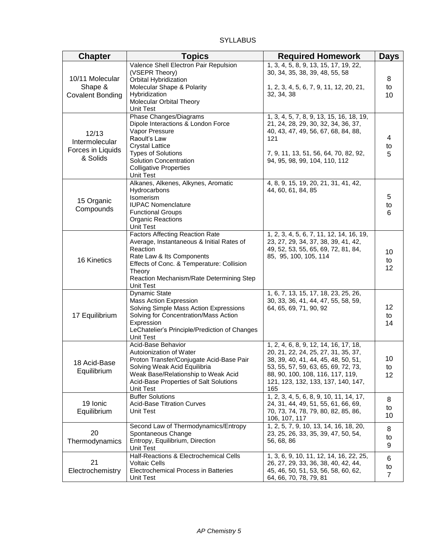## **SYLLABUS**

| <b>Chapter</b>                                           | <b>Topics</b>                                                                                                                                                                                                                                | <b>Required Homework</b>                                                                                                                                                                                                                    | <b>Days</b>               |
|----------------------------------------------------------|----------------------------------------------------------------------------------------------------------------------------------------------------------------------------------------------------------------------------------------------|---------------------------------------------------------------------------------------------------------------------------------------------------------------------------------------------------------------------------------------------|---------------------------|
| 10/11 Molecular<br>Shape &<br><b>Covalent Bonding</b>    | Valence Shell Electron Pair Repulsion<br>(VSEPR Theory)<br>Orbital Hybridization<br>Molecular Shape & Polarity<br>Hybridization<br>Molecular Orbital Theory<br>Unit Test                                                                     | 1, 3, 4, 5, 8, 9, 13, 15, 17, 19, 22,<br>30, 34, 35, 38, 39, 48, 55, 58<br>1, 2, 3, 4, 5, 6, 7, 9, 11, 12, 20, 21,<br>32, 34, 38                                                                                                            | 8<br>to<br>10             |
| 12/13<br>Intermolecular<br>Forces in Liquids<br>& Solids | Phase Changes/Diagrams<br>Dipole Interactions & London Force<br>Vapor Pressure<br>Raoult's Law<br><b>Crystal Lattice</b><br><b>Types of Solutions</b><br><b>Solution Concentration</b><br><b>Colligative Properties</b><br>Unit Test         | 1, 3, 4, 5, 7, 8, 9, 13, 15, 16, 18, 19,<br>21, 24, 28, 29, 30, 32, 34, 36, 37,<br>40, 43, 47, 49, 56, 67, 68, 84, 88,<br>121<br>7, 9, 11, 13, 51, 56, 64, 70, 82, 92,<br>94, 95, 98, 99, 104, 110, 112                                     | 4<br>to<br>5              |
| 15 Organic<br>Compounds                                  | Alkanes, Alkenes, Alkynes, Aromatic<br>Hydrocarbons<br>Isomerism<br><b>IUPAC Nomenclature</b><br><b>Functional Groups</b><br><b>Organic Reactions</b><br>Unit Test                                                                           | 4, 8, 9, 15, 19, 20, 21, 31, 41, 42,<br>44, 60, 61, 84, 85                                                                                                                                                                                  | 5<br>to<br>6              |
| 16 Kinetics                                              | <b>Factors Affecting Reaction Rate</b><br>Average, Instantaneous & Initial Rates of<br>Reaction<br>Rate Law & Its Components<br>Effects of Conc. & Temperature: Collision<br>Theory<br>Reaction Mechanism/Rate Determining Step<br>Unit Test | 1, 2, 3, 4, 5, 6, 7, 11, 12, 14, 16, 19,<br>23, 27, 29, 34, 37, 38, 39, 41, 42,<br>49, 52, 53, 55, 65, 69, 72, 81, 84,<br>85, 95, 100, 105, 114                                                                                             | 10<br>to<br>12            |
| 17 Equilibrium                                           | <b>Dynamic State</b><br>Mass Action Expression<br>Solving Simple Mass Action Expressions<br>Solving for Concentration/Mass Action<br>Expression<br>LeChatelier's Principle/Prediction of Changes<br>Unit Test                                | 1, 6, 7, 13, 15, 17, 18, 23, 25, 26,<br>30, 33, 36, 41, 44, 47, 55, 58, 59,<br>64, 65, 69, 71, 90, 92                                                                                                                                       | 12<br>to<br>14            |
| 18 Acid-Base<br>Equilibrium                              | Acid-Base Behavior<br>Autoionization of Water<br>Proton Transfer/Conjugate Acid-Base Pair<br>Solving Weak Acid Equilibria<br>Weak Base/Relationship to Weak Acid<br>Acid-Base Properties of Salt Solutions<br>Unit Test                      | 1, 2, 4, 6, 8, 9, 12, 14, 16, 17, 18,<br>20, 21, 22, 24, 25, 27, 31, 35, 37,<br>38, 39, 40, 41, 44, 45, 48, 50, 51,<br>53, 55, 57, 59, 63, 65, 69, 72, 73,<br>88, 90, 100, 108, 116, 117, 119,<br>121, 123, 132, 133, 137, 140, 147,<br>165 | 10<br>to<br>12            |
| 19 Ionic<br>Equilibrium                                  | <b>Buffer Solutions</b><br><b>Acid-Base Titration Curves</b><br>Unit Test                                                                                                                                                                    | 1, 2, 3, 4, 5, 6, 8, 9, 10, 11, 14, 17,<br>24, 31, 44, 49, 51, 55, 61, 66, 69,<br>70, 73, 74, 78, 79, 80, 82, 85, 86,<br>106, 107, 117                                                                                                      | 8<br>to<br>10             |
| 20<br>Thermodynamics                                     | Second Law of Thermodynamics/Entropy<br>Spontaneous Change<br>Entropy, Equilibrium, Direction<br>Unit Test                                                                                                                                   | 1, 2, 5, 7, 9, 10, 13, 14, 16, 18, 20,<br>23, 25, 26, 33, 35, 39, 47, 50, 54,<br>56, 68, 86                                                                                                                                                 | 8<br>to<br>9              |
| 21<br>Electrochemistry                                   | Half-Reactions & Electrochemical Cells<br><b>Voltaic Cells</b><br>Electrochemical Process in Batteries<br>Unit Test                                                                                                                          | 1, 3, 6, 9, 10, 11, 12, 14, 16, 22, 25,<br>26, 27, 29, 33, 36, 38, 40, 42, 44,<br>45, 46, 50, 51, 53, 56, 58, 60, 62,<br>64, 66, 70, 78, 79, 81                                                                                             | 6<br>to<br>$\overline{7}$ |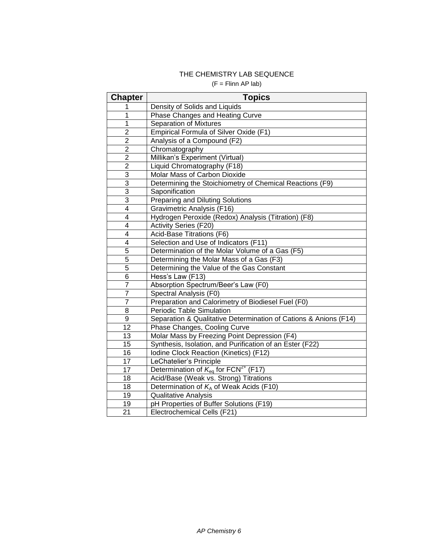## THE CHEMISTRY LAB SEQUENCE  $(F = FilmAPIab)$

| <b>Chapter</b>  | <b>Topics</b>                                                    |
|-----------------|------------------------------------------------------------------|
| 1               | Density of Solids and Liquids                                    |
| 1               | Phase Changes and Heating Curve                                  |
| 1               | <b>Separation of Mixtures</b>                                    |
| $\overline{c}$  | <b>Empirical Formula of Silver Oxide (F1)</b>                    |
| $\overline{2}$  | Analysis of a Compound (F2)                                      |
| $\overline{2}$  | Chromatography                                                   |
| $\overline{2}$  | Millikan's Experiment (Virtual)                                  |
| $\overline{2}$  | Liquid Chromatography (F18)                                      |
| $\overline{3}$  | Molar Mass of Carbon Dioxide                                     |
| $\overline{3}$  | Determining the Stoichiometry of Chemical Reactions (F9)         |
| $\overline{3}$  | Saponification                                                   |
| $\overline{3}$  | Preparing and Diluting Solutions                                 |
| $\overline{4}$  | Gravimetric Analysis (F16)                                       |
| $\overline{4}$  | Hydrogen Peroxide (Redox) Analysis (Titration) (F8)              |
| 4               | Activity Series (F20)                                            |
| 4               | Acid-Base Titrations (F6)                                        |
| 4               | Selection and Use of Indicators (F11)                            |
| 5               | Determination of the Molar Volume of a Gas (F5)                  |
| 5               | Determining the Molar Mass of a Gas (F3)                         |
| 5               | Determining the Value of the Gas Constant                        |
| 6               | Hess's Law (F13)                                                 |
| $\overline{7}$  | Absorption Spectrum/Beer's Law (F0)                              |
| $\overline{7}$  | Spectral Analysis (F0)                                           |
| $\overline{7}$  | Preparation and Calorimetry of Biodiesel Fuel (F0)               |
| 8               | <b>Periodic Table Simulation</b>                                 |
| 9               | Separation & Qualitative Determination of Cations & Anions (F14) |
| 12              | Phase Changes, Cooling Curve                                     |
| 13              | Molar Mass by Freezing Point Depression (F4)                     |
| 15              | Synthesis, Isolation, and Purification of an Ester (F22)         |
| 16              | Iodine Clock Reaction (Kinetics) (F12)                           |
| 17              | LeChatelier's Principle                                          |
| 17              | Determination of $K_{eq}$ for FCN <sup>2+</sup> (F17)            |
| 18              | Acid/Base (Weak vs. Strong) Titrations                           |
| 18              | Determination of $K_A$ of Weak Acids (F10)                       |
| 19              | <b>Qualitative Analysis</b>                                      |
| 19              | pH Properties of Buffer Solutions (F19)                          |
| $\overline{21}$ | Electrochemical Cells (F21)                                      |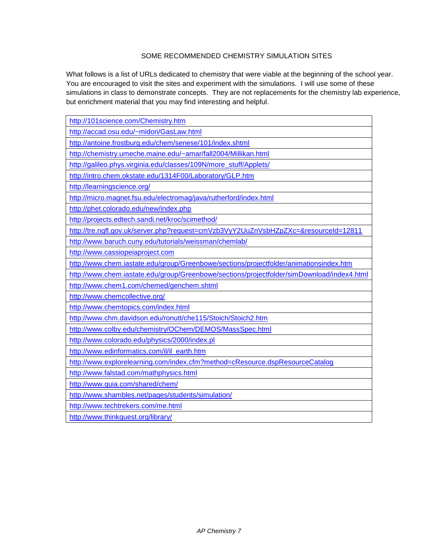# SOME RECOMMENDED CHEMISTRY SIMULATION SITES

What follows is a list of URLs dedicated to chemistry that were viable at the beginning of the school year. You are encouraged to visit the sites and experiment with the simulations. I will use some of these simulations in class to demonstrate concepts. They are not replacements for the chemistry lab experience, but enrichment material that you may find interesting and helpful.

| http://101science.com/Chemistry.htm                                                        |
|--------------------------------------------------------------------------------------------|
| http://accad.osu.edu/~midori/GasLaw.html                                                   |
| http://antoine.frostburg.edu/chem/senese/101/index.shtml                                   |
| http://chemistry.umeche.maine.edu/~amar/fall2004/Millikan.html                             |
| http://galileo.phys.virginia.edu/classes/109N/more_stuff/Applets/                          |
| http://intro.chem.okstate.edu/1314F00/Laboratory/GLP.htm                                   |
| http://learningscience.org/                                                                |
| http://micro.magnet.fsu.edu/electromag/java/rutherford/index.html                          |
| http://phet.colorado.edu/new/index.php                                                     |
| http://projects.edtech.sandi.net/kroc/scimethod/                                           |
| http://tre.ngfl.gov.uk/server.php?request=cmVzb3VyY2UuZnVsbHZpZXc=&resourceId=12811        |
| http://www.baruch.cuny.edu/tutorials/weissman/chemlab/                                     |
| http://www.cassiopeiaproject.com                                                           |
| http://www.chem.iastate.edu/group/Greenbowe/sections/projectfolder/animationsindex.htm     |
| http://www.chem.iastate.edu/group/Greenbowe/sections/projectfolder/simDownload/index4.html |
| http://www.chem1.com/chemed/genchem.shtml                                                  |
| http://www.chemcollective.org/                                                             |
| http://www.chemtopics.com/index.html                                                       |
| http://www.chm.davidson.edu/ronutt/che115/Stoich/Stoich2.htm                               |
| http://www.colby.edu/chemistry/OChem/DEMOS/MassSpec.html                                   |
| http://www.colorado.edu/physics/2000/index.pl                                              |
| http://www.edinformatics.com/il/il earth.htm                                               |
| http://www.explorelearning.com/index.cfm?method=cResource.dspResourceCatalog               |
| http://www.falstad.com/mathphysics.html                                                    |
| http://www.quia.com/shared/chem/                                                           |
| http://www.shambles.net/pages/students/simulation/                                         |
| http://www.techtrekers.com/me.html                                                         |
| http://www.thinkquest.org/library/                                                         |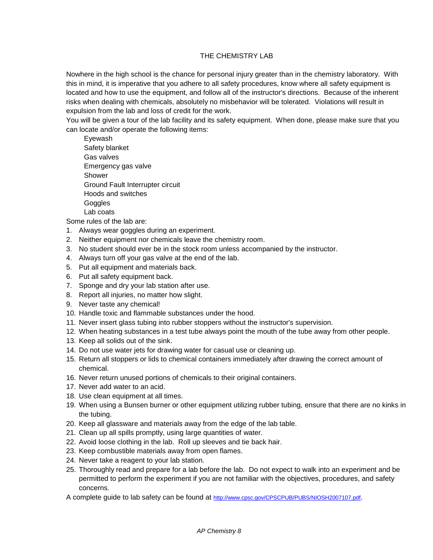## THE CHEMISTRY LAB

Nowhere in the high school is the chance for personal injury greater than in the chemistry laboratory. With this in mind, it is imperative that you adhere to all safety procedures, know where all safety equipment is located and how to use the equipment, and follow all of the instructor's directions. Because of the inherent risks when dealing with chemicals, absolutely no misbehavior will be tolerated. Violations will result in expulsion from the lab and loss of credit for the work.

You will be given a tour of the lab facility and its safety equipment. When done, please make sure that you can locate and/or operate the following items:

Eyewash Safety blanket Gas valves Emergency gas valve Shower Ground Fault Interrupter circuit Hoods and switches **Goggles** Lab coats

Some rules of the lab are:

- 1. Always wear goggles during an experiment.
- 2. Neither equipment nor chemicals leave the chemistry room.
- 3. No student should ever be in the stock room unless accompanied by the instructor.
- 4. Always turn off your gas valve at the end of the lab.
- 5. Put all equipment and materials back.
- 6. Put all safety equipment back.
- 7. Sponge and dry your lab station after use.
- 8. Report all injuries, no matter how slight.
- 9. Never taste any chemical!
- 10. Handle toxic and flammable substances under the hood.
- 11. Never insert glass tubing into rubber stoppers without the instructor's supervision.
- 12. When heating substances in a test tube always point the mouth of the tube away from other people.
- 13. Keep all solids out of the sink.
- 14. Do not use water jets for drawing water for casual use or cleaning up.
- 15. Return all stoppers or lids to chemical containers immediately after drawing the correct amount of chemical.
- 16. Never return unused portions of chemicals to their original containers.
- 17. Never add water to an acid.
- 18. Use clean equipment at all times.
- 19. When using a Bunsen burner or other equipment utilizing rubber tubing, ensure that there are no kinks in the tubing.
- 20. Keep all glassware and materials away from the edge of the lab table.
- 21. Clean up all spills promptly, using large quantities of water.
- 22. Avoid loose clothing in the lab. Roll up sleeves and tie back hair.
- 23. Keep combustible materials away from open flames.
- 24. Never take a reagent to your lab station.
- 25. Thoroughly read and prepare for a lab before the lab. Do not expect to walk into an experiment and be permitted to perform the experiment if you are not familiar with the objectives, procedures, and safety concerns.

A complete guide to lab safety can be found at <http://www.cpsc.gov/CPSCPUB/PUBS/NIOSH2007107.pdf>.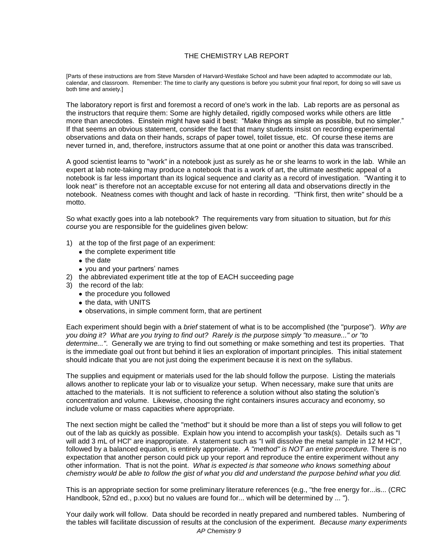#### THE CHEMISTRY LAB REPORT

[Parts of these instructions are from Steve Marsden of Harvard-Westlake School and have been adapted to accommodate our lab, calendar, and classroom. Remember: The time to clarify any questions is before you submit your final report, for doing so will save us both time and anxiety.]

The laboratory report is first and foremost a record of one's work in the lab. Lab reports are as personal as the instructors that require them: Some are highly detailed, rigidly composed works while others are little more than anecdotes. Einstein might have said it best: "Make things as simple as possible, but no simpler." If that seems an obvious statement, consider the fact that many students insist on recording experimental observations and data on their hands, scraps of paper towel, toilet tissue, etc. Of course these items are never turned in, and, therefore, instructors assume that at one point or another this data was transcribed.

A good scientist learns to "work" in a notebook just as surely as he or she learns to work in the lab. While an expert at lab note-taking may produce a notebook that is a work of art, the ultimate aesthetic appeal of a notebook is far less important than its logical sequence and clarity as a record of investigation. "Wanting it to look neat" is therefore not an acceptable excuse for not entering all data and observations directly in the notebook. Neatness comes with thought and lack of haste in recording. "Think first, then write" should be a motto.

So what exactly goes into a lab notebook? The requirements vary from situation to situation, but *for this course* you are responsible for the guidelines given below:

- 1) at the top of the first page of an experiment:
	- the complete experiment title
	- the date
	- you and your partners' names
- 2) the abbreviated experiment title at the top of EACH succeeding page
- 3) the record of the lab:
	- the procedure you followed
	- the data, with UNITS
	- observations, in simple comment form, that are pertinent

Each experiment should begin with a *brief* statement of what is to be accomplished (the "purpose"). *Why are you doing it? What are you trying to find out? Rarely is the purpose simply "to measure..." or "to determine..."*. Generally we are trying to find out something or make something and test its properties. That is the immediate goal out front but behind it lies an exploration of important principles. This initial statement should indicate that you are not just doing the experiment because it is next on the syllabus.

The supplies and equipment or materials used for the lab should follow the purpose. Listing the materials allows another to replicate your lab or to visualize your setup. When necessary, make sure that units are attached to the materials. It is not sufficient to reference a solution without also stating the solution's concentration and volume. Likewise, choosing the right containers insures accuracy and economy, so include volume or mass capacities where appropriate.

The next section might be called the "method" but it should be more than a list of steps you will follow to get out of the lab as quickly as possible. Explain how you intend to accomplish your task(s). Details such as "I will add 3 mL of HCl" are inappropriate. A statement such as "I will dissolve the metal sample in 12 M HCl", followed by a balanced equation, is entirely appropriate. *A "method" is NOT an entire procedure.* There is no expectation that another person could pick up your report and reproduce the entire experiment without any other information. That is not the point. *What is expected is that someone who knows something about chemistry would be able to follow the gist of what you did and understand the purpose behind what you did.*

This is an appropriate section for some preliminary literature references (e.g., "the free energy for...is... (CRC Handbook, 52nd ed., p.xxx) but no values are found for... which will be determined by ... ").

*AP Chemistry 9* Your daily work will follow. Data should be recorded in neatly prepared and numbered tables. Numbering of the tables will facilitate discussion of results at the conclusion of the experiment. *Because many experiments*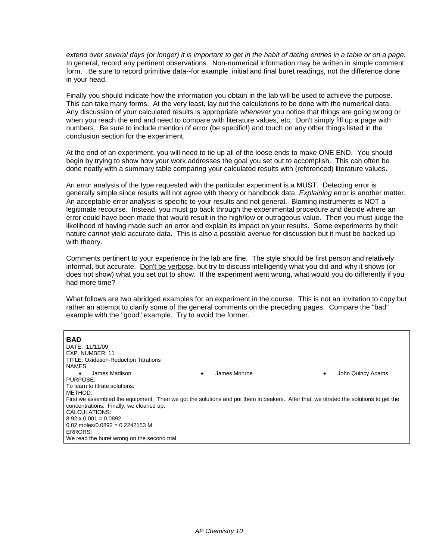*extend over several days (or longer) it is important to get in the habit of dating entries in a table or on a page.* In general, record any pertinent observations. Non-numerical information may be written in simple comment form. Be sure to record primitive data--for example, initial and final buret readings, not the difference done in your head.

Finally you should indicate how the information you obtain in the lab will be used to achieve the purpose. This can take many forms. At the very least, lay out the calculations to be done with the numerical data. Any discussion of your calculated results is appropriate *whenever* you notice that things are going wrong or when you reach the end and need to compare with literature values, etc. Don't simply fill up a page with numbers. Be sure to include mention of error (be specific!) and touch on any other things listed in the conclusion section for the experiment.

At the end of an experiment, you will need to tie up all of the loose ends to make ONE END. You should begin by trying to show how your work addresses the goal you set out to accomplish. This can often be done neatly with a summary table comparing your calculated results with (referenced) literature values.

An error analysis of the type requested with the particular experiment is a MUST. Detecting error is generally simple since results will not agree with theory or handbook data. *Explaining* error is another matter. An acceptable error analysis is specific to your results and not general. Blaming instruments is NOT a legitimate recourse. Instead, you must go back through the experimental procedure and decide where an error could have been made that would result in the high/low or outrageous value. Then you must judge the likelihood of having made such an error and explain its impact on your results. Some experiments by their nature *cannot* yield accurate data. This is also a possible avenue for discussion but it must be backed up with theory.

Comments pertinent to your experience in the lab are fine. The style should be first person and relatively informal, but accurate. Don't be verbose, but try to discuss intelligently what you did and why it shows (or does not show) what you set out to show. If the experiment went wrong, what would you do differently if you had more time?

What follows are two abridged examples for an experiment in the course. This is not an invitation to copy but rather an attempt to clarify some of the general comments on the preceding pages. Compare the "bad" example with the "good" example. Try to avoid the former.

| <b>BAD</b><br>DATE: 11/11/09<br>EXP. NUMBER: 11<br><b>TITLE: Oxidation-Reduction Titrations</b><br>NAMES:                             |                   |                        |
|---------------------------------------------------------------------------------------------------------------------------------------|-------------------|------------------------|
| James Madison<br>٠                                                                                                                    | James Monroe<br>٠ | John Quincy Adams<br>٠ |
| PURPOSE:                                                                                                                              |                   |                        |
| To learn to titrate solutions.                                                                                                        |                   |                        |
| METHOD:                                                                                                                               |                   |                        |
| First we assembled the equipment. Then we got the solutions and put them in beakers. After that, we titrated the solutions to get the |                   |                        |
| concentrations. Finally, we cleaned up.                                                                                               |                   |                        |
| CALCULATIONS:                                                                                                                         |                   |                        |
| $8.92 \times 0.001 = 0.0892$                                                                                                          |                   |                        |
| $0.02$ moles/0.0892 = 0.2242153 M                                                                                                     |                   |                        |
| ERRORS:                                                                                                                               |                   |                        |
| We read the buret wrong on the second trial.                                                                                          |                   |                        |